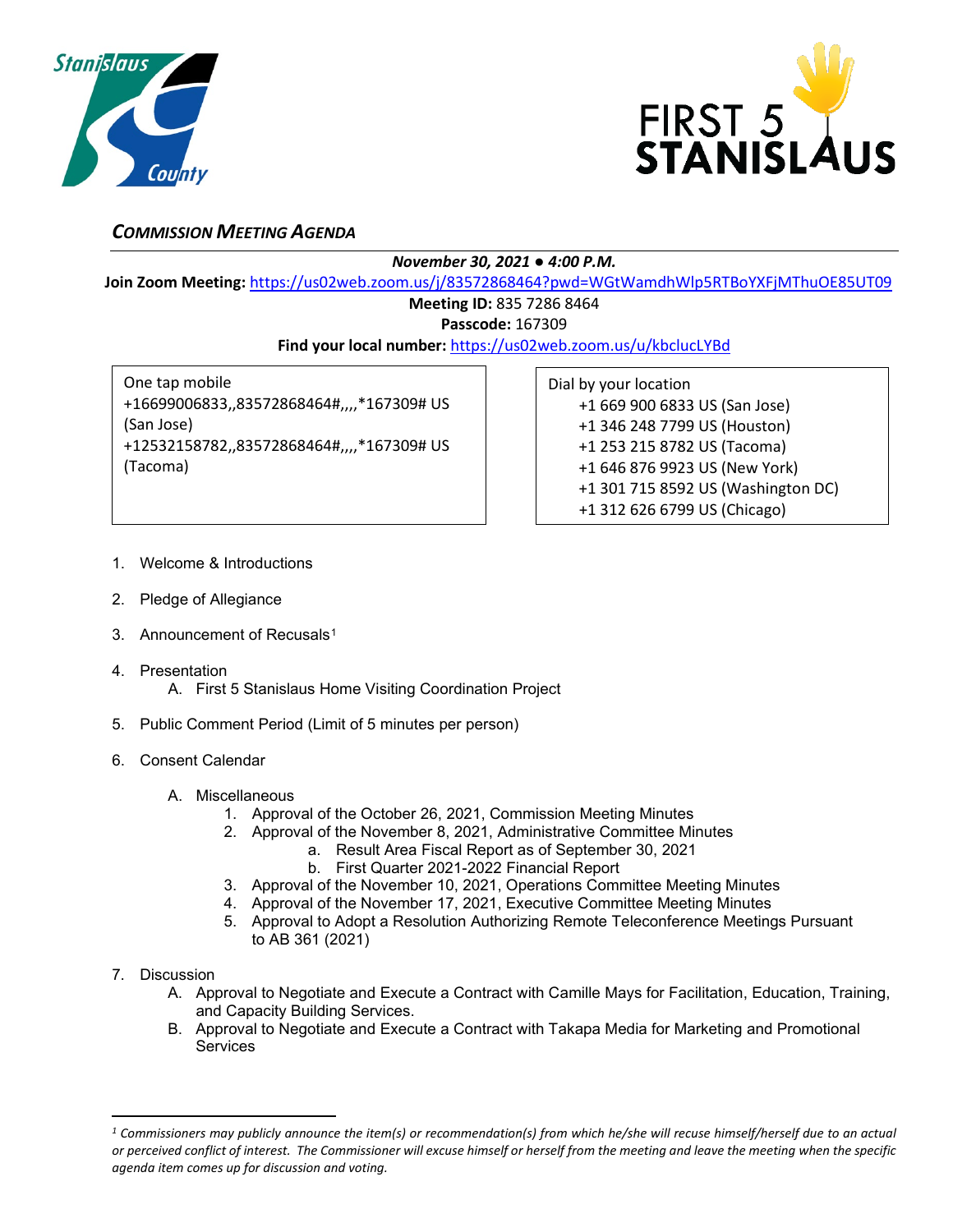



## *COMMISSION MEETING AGENDA*

*November 30, 2021 ● 4:00 P.M.*

**Join Zoom Meeting:** <https://us02web.zoom.us/j/83572868464?pwd=WGtWamdhWlp5RTBoYXFjMThuOE85UT09>

## **Meeting ID:** 835 7286 8464

**Passcode:** 167309

**Find your local number:** <https://us02web.zoom.us/u/kbclucLYBd>

One tap mobile +16699006833,,83572868464#,,,,\*167309# US (San Jose) +12532158782,,83572868464#,,,,\*167309# US (Tacoma)

Dial by your location +1 669 900 6833 US (San Jose) +1 346 248 7799 US (Houston) +1 253 215 8782 US (Tacoma) +1 646 876 9923 US (New York) +1 301 715 8592 US (Washington DC) +1 312 626 6799 US (Chicago)

- 1. Welcome & Introductions
- 2. Pledge of Allegiance
- 3. Announcement of Recusals<sup>[1](#page-0-0)</sup>
- 4. Presentation
	- A. First 5 Stanislaus Home Visiting Coordination Project
- 5. Public Comment Period (Limit of 5 minutes per person)
- 6. Consent Calendar
	- A. Miscellaneous
		- 1. Approval of the October 26, 2021, Commission Meeting Minutes
		- 2. Approval of the November 8, 2021, Administrative Committee Minutes
			- a. Result Area Fiscal Report as of September 30, 2021
			- b. First Quarter 2021-2022 Financial Report
		- 3. Approval of the November 10, 2021, Operations Committee Meeting Minutes
		- 4. Approval of the November 17, 2021, Executive Committee Meeting Minutes
		- 5. Approval to Adopt a Resolution Authorizing Remote Teleconference Meetings Pursuant to AB 361 (2021)
- 7. Discussion
	- A. Approval to Negotiate and Execute a Contract with Camille Mays for Facilitation, Education, Training, and Capacity Building Services.
	- B. Approval to Negotiate and Execute a Contract with Takapa Media for Marketing and Promotional Services

<span id="page-0-0"></span>*<sup>1</sup> Commissioners may publicly announce the item(s) or recommendation(s) from which he/she will recuse himself/herself due to an actual or perceived conflict of interest. The Commissioner will excuse himself or herself from the meeting and leave the meeting when the specific agenda item comes up for discussion and voting.*